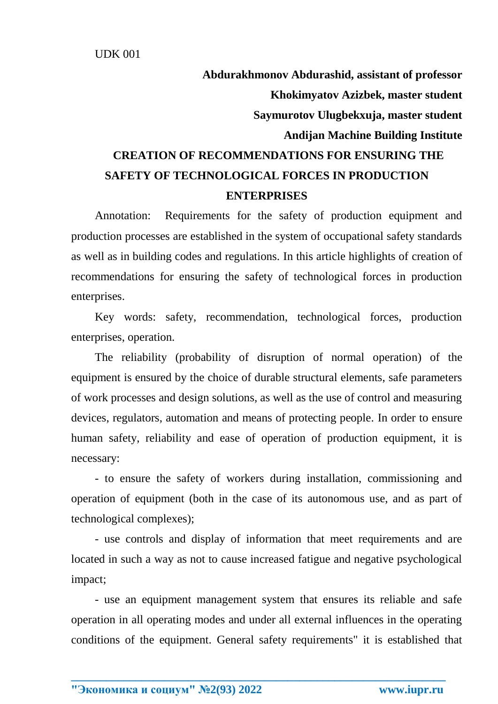UDK 001

## **Abdurakhmonov Abdurashid, assistant of professor Khokimyatov Azizbek, master student Saymurotov Ulugbekxuja, master student Andijan Machine Building Institute CREATION OF RECOMMENDATIONS FOR ENSURING THE SAFETY OF TECHNOLOGICAL FORCES IN PRODUCTION ENTERPRISES**

Annotation: Requirements for the safety of production equipment and production processes are established in the system of occupational safety standards as well as in building codes and regulations. In this article highlights of creation of recommendations for ensuring the safety of technological forces in production enterprises.

Key words: safety, recommendation, technological forces, production enterprises, operation.

The reliability (probability of disruption of normal operation) of the equipment is ensured by the choice of durable structural elements, safe parameters of work processes and design solutions, as well as the use of control and measuring devices, regulators, automation and means of protecting people. In order to ensure human safety, reliability and ease of operation of production equipment, it is necessary:

- to ensure the safety of workers during installation, commissioning and operation of equipment (both in the case of its autonomous use, and as part of technological complexes);

- use controls and display of information that meet requirements and are located in such a way as not to cause increased fatigue and negative psychological impact;

- use an equipment management system that ensures its reliable and safe operation in all operating modes and under all external influences in the operating conditions of the equipment. General safety requirements" it is established that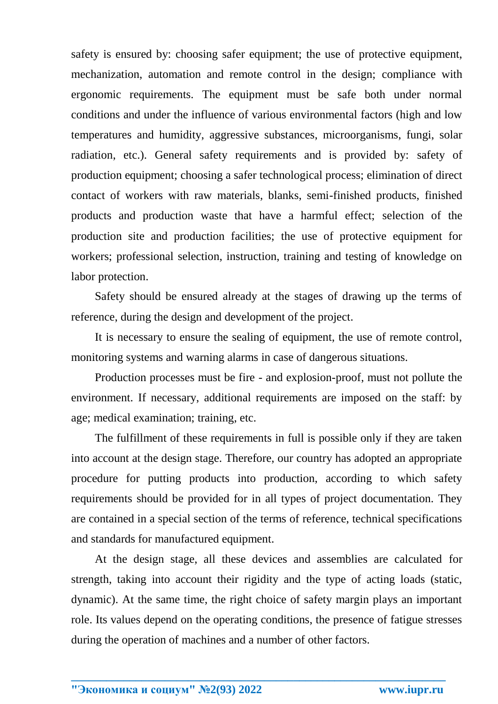safety is ensured by: choosing safer equipment; the use of protective equipment, mechanization, automation and remote control in the design; compliance with ergonomic requirements. The equipment must be safe both under normal conditions and under the influence of various environmental factors (high and low temperatures and humidity, aggressive substances, microorganisms, fungi, solar radiation, etc.). General safety requirements and is provided by: safety of production equipment; choosing a safer technological process; elimination of direct contact of workers with raw materials, blanks, semi-finished products, finished products and production waste that have a harmful effect; selection of the production site and production facilities; the use of protective equipment for workers; professional selection, instruction, training and testing of knowledge on labor protection.

Safety should be ensured already at the stages of drawing up the terms of reference, during the design and development of the project.

It is necessary to ensure the sealing of equipment, the use of remote control, monitoring systems and warning alarms in case of dangerous situations.

Production processes must be fire - and explosion-proof, must not pollute the environment. If necessary, additional requirements are imposed on the staff: by age; medical examination; training, etc.

The fulfillment of these requirements in full is possible only if they are taken into account at the design stage. Therefore, our country has adopted an appropriate procedure for putting products into production, according to which safety requirements should be provided for in all types of project documentation. They are contained in a special section of the terms of reference, technical specifications and standards for manufactured equipment.

At the design stage, all these devices and assemblies are calculated for strength, taking into account their rigidity and the type of acting loads (static, dynamic). At the same time, the right choice of safety margin plays an important role. Its values depend on the operating conditions, the presence of fatigue stresses during the operation of machines and a number of other factors.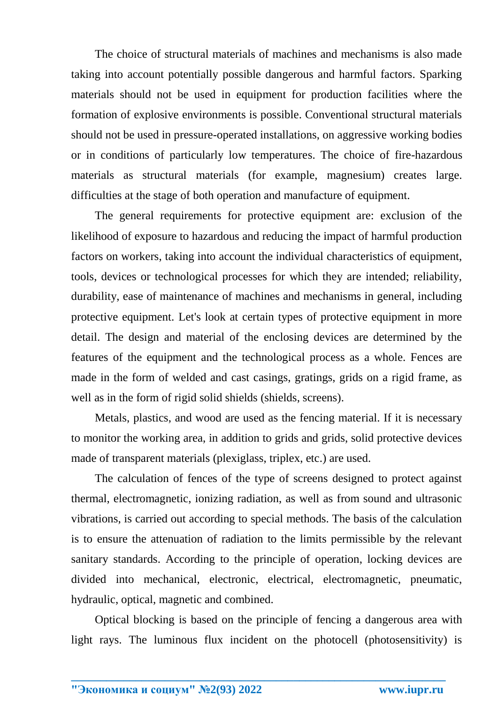The choice of structural materials of machines and mechanisms is also made taking into account potentially possible dangerous and harmful factors. Sparking materials should not be used in equipment for production facilities where the formation of explosive environments is possible. Conventional structural materials should not be used in pressure-operated installations, on aggressive working bodies or in conditions of particularly low temperatures. The choice of fire-hazardous materials as structural materials (for example, magnesium) creates large. difficulties at the stage of both operation and manufacture of equipment.

The general requirements for protective equipment are: exclusion of the likelihood of exposure to hazardous and reducing the impact of harmful production factors on workers, taking into account the individual characteristics of equipment, tools, devices or technological processes for which they are intended; reliability, durability, ease of maintenance of machines and mechanisms in general, including protective equipment. Let's look at certain types of protective equipment in more detail. The design and material of the enclosing devices are determined by the features of the equipment and the technological process as a whole. Fences are made in the form of welded and cast casings, gratings, grids on a rigid frame, as well as in the form of rigid solid shields (shields, screens).

Metals, plastics, and wood are used as the fencing material. If it is necessary to monitor the working area, in addition to grids and grids, solid protective devices made of transparent materials (plexiglass, triplex, etc.) are used.

The calculation of fences of the type of screens designed to protect against thermal, electromagnetic, ionizing radiation, as well as from sound and ultrasonic vibrations, is carried out according to special methods. The basis of the calculation is to ensure the attenuation of radiation to the limits permissible by the relevant sanitary standards. According to the principle of operation, locking devices are divided into mechanical, electronic, electrical, electromagnetic, pneumatic, hydraulic, optical, magnetic and combined.

Optical blocking is based on the principle of fencing a dangerous area with light rays. The luminous flux incident on the photocell (photosensitivity) is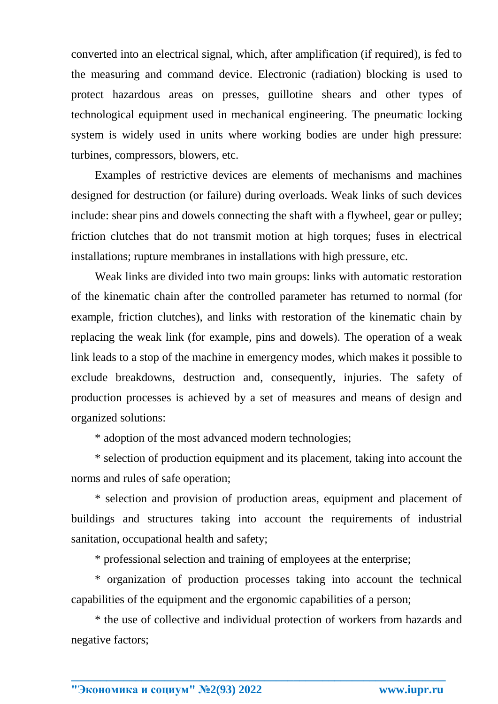converted into an electrical signal, which, after amplification (if required), is fed to the measuring and command device. Electronic (radiation) blocking is used to protect hazardous areas on presses, guillotine shears and other types of technological equipment used in mechanical engineering. The pneumatic locking system is widely used in units where working bodies are under high pressure: turbines, compressors, blowers, etc.

Examples of restrictive devices are elements of mechanisms and machines designed for destruction (or failure) during overloads. Weak links of such devices include: shear pins and dowels connecting the shaft with a flywheel, gear or pulley; friction clutches that do not transmit motion at high torques; fuses in electrical installations; rupture membranes in installations with high pressure, etc.

Weak links are divided into two main groups: links with automatic restoration of the kinematic chain after the controlled parameter has returned to normal (for example, friction clutches), and links with restoration of the kinematic chain by replacing the weak link (for example, pins and dowels). The operation of a weak link leads to a stop of the machine in emergency modes, which makes it possible to exclude breakdowns, destruction and, consequently, injuries. The safety of production processes is achieved by a set of measures and means of design and organized solutions:

\* adoption of the most advanced modern technologies;

\* selection of production equipment and its placement, taking into account the norms and rules of safe operation;

\* selection and provision of production areas, equipment and placement of buildings and structures taking into account the requirements of industrial sanitation, occupational health and safety;

\* professional selection and training of employees at the enterprise;

\* organization of production processes taking into account the technical capabilities of the equipment and the ergonomic capabilities of a person;

\* the use of collective and individual protection of workers from hazards and negative factors;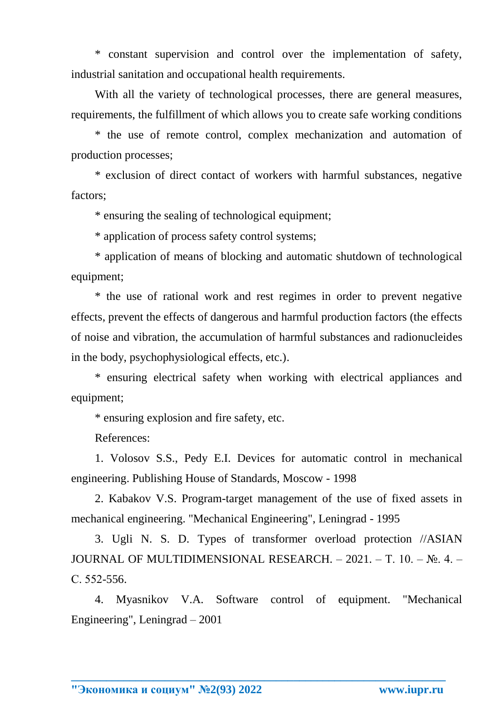\* constant supervision and control over the implementation of safety, industrial sanitation and occupational health requirements.

With all the variety of technological processes, there are general measures, requirements, the fulfillment of which allows you to create safe working conditions

\* the use of remote control, complex mechanization and automation of production processes;

\* exclusion of direct contact of workers with harmful substances, negative factors;

\* ensuring the sealing of technological equipment;

\* application of process safety control systems;

\* application of means of blocking and automatic shutdown of technological equipment;

\* the use of rational work and rest regimes in order to prevent negative effects, prevent the effects of dangerous and harmful production factors (the effects of noise and vibration, the accumulation of harmful substances and radionucleides in the body, psychophysiological effects, etc.).

\* ensuring electrical safety when working with electrical appliances and equipment;

\* ensuring explosion and fire safety, etc.

References:

1. Volosov S.S., Pedy E.I. Devices for automatic control in mechanical engineering. Publishing House of Standards, Moscow - 1998

2. Kabakov V.S. Program-target management of the use of fixed assets in mechanical engineering. "Mechanical Engineering", Leningrad - 1995

3. Ugli N. S. D. Types of transformer overload protection //ASIAN JOURNAL OF MULTIDIMENSIONAL RESEARCH. – 2021. – Т. 10. – №. 4. – С. 552-556.

4. Myasnikov V.A. Software control of equipment. "Mechanical Engineering", Leningrad – 2001